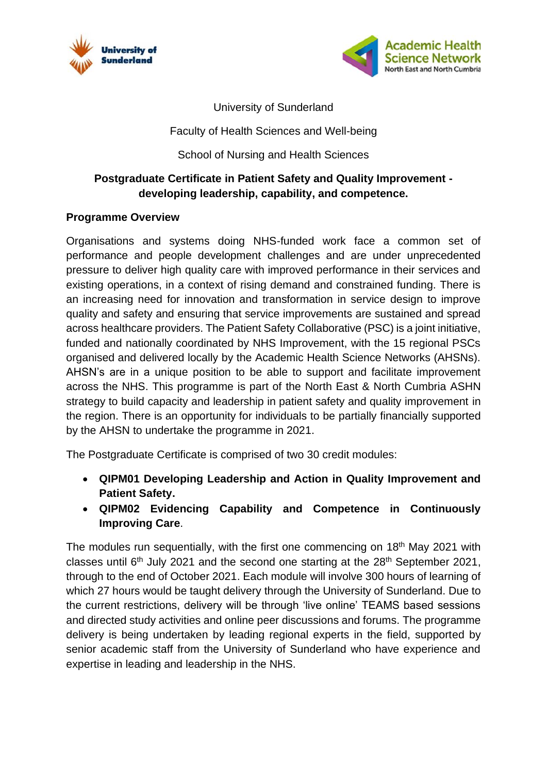



University of Sunderland

Faculty of Health Sciences and Well-being

# School of Nursing and Health Sciences

# **Postgraduate Certificate in Patient Safety and Quality Improvement developing leadership, capability, and competence.**

### **Programme Overview**

Organisations and systems doing NHS-funded work face a common set of performance and people development challenges and are under unprecedented pressure to deliver high quality care with improved performance in their services and existing operations, in a context of rising demand and constrained funding. There is an increasing need for innovation and transformation in service design to improve quality and safety and ensuring that service improvements are sustained and spread across healthcare providers. The Patient Safety Collaborative (PSC) is a joint initiative, funded and nationally coordinated by NHS Improvement, with the 15 regional PSCs organised and delivered locally by the Academic Health Science Networks (AHSNs). AHSN's are in a unique position to be able to support and facilitate improvement across the NHS. This programme is part of the North East & North Cumbria ASHN strategy to build capacity and leadership in patient safety and quality improvement in the region. There is an opportunity for individuals to be partially financially supported by the AHSN to undertake the programme in 2021.

The Postgraduate Certificate is comprised of two 30 credit modules:

- **QIPM01 Developing Leadership and Action in Quality Improvement and Patient Safety.**
- **QIPM02 Evidencing Capability and Competence in Continuously Improving Care**.

The modules run sequentially, with the first one commencing on 18<sup>th</sup> May 2021 with classes until 6<sup>th</sup> July 2021 and the second one starting at the 28<sup>th</sup> September 2021, through to the end of October 2021. Each module will involve 300 hours of learning of which 27 hours would be taught delivery through the University of Sunderland. Due to the current restrictions, delivery will be through 'live online' TEAMS based sessions and directed study activities and online peer discussions and forums. The programme delivery is being undertaken by leading regional experts in the field, supported by senior academic staff from the University of Sunderland who have experience and expertise in leading and leadership in the NHS.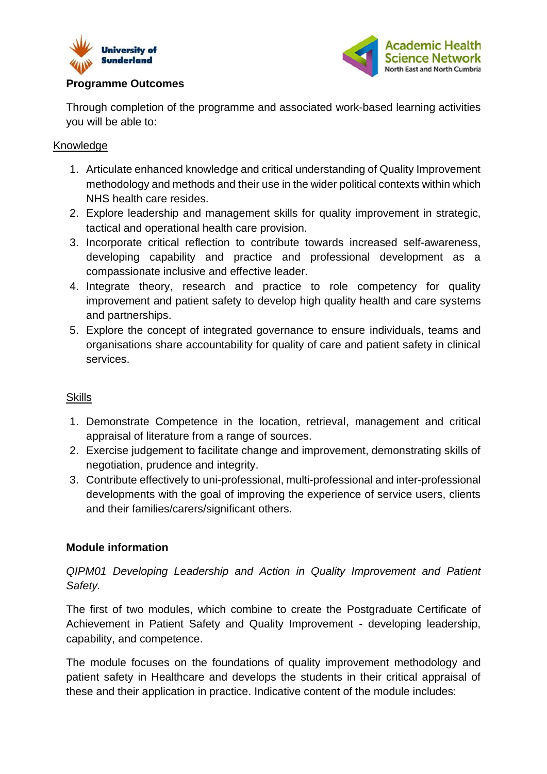



# **Programme Outcomes**

Through completion of the programme and associated work-based learning activities you will be able to:

#### Knowledge

- 1. Articulate enhanced knowledge and critical understanding of Quality Improvement methodology and methods and their use in the wider political contexts within which NHS health care resides.
- 2. Explore leadership and management skills for quality improvement in strategic, tactical and operational health care provision.
- 3. Incorporate critical reflection to contribute towards increased self-awareness, developing capability and practice and professional development as a compassionate inclusive and effective leader.
- 4. Integrate theory, research and practice to role competency for quality improvement and patient safety to develop high quality health and care systems and partnerships.
- 5. Explore the concept of integrated governance to ensure individuals, teams and organisations share accountability for quality of care and patient safety in clinical services.

#### **Skills**

- 1. Demonstrate Competence in the location, retrieval, management and critical appraisal of literature from a range of sources.
- 2. Exercise judgement to facilitate change and improvement, demonstrating skills of negotiation, prudence and integrity.
- 3. Contribute effectively to uni-professional, multi-professional and inter-professional developments with the goal of improving the experience of service users, clients and their families/carers/significant others.

### **Module information**

*QIPM01 Developing Leadership and Action in Quality Improvement and Patient Safety.*

The first of two modules, which combine to create the Postgraduate Certificate of Achievement in Patient Safety and Quality Improvement - developing leadership, capability, and competence.

The module focuses on the foundations of quality improvement methodology and patient safety in Healthcare and develops the students in their critical appraisal of these and their application in practice. Indicative content of the module includes: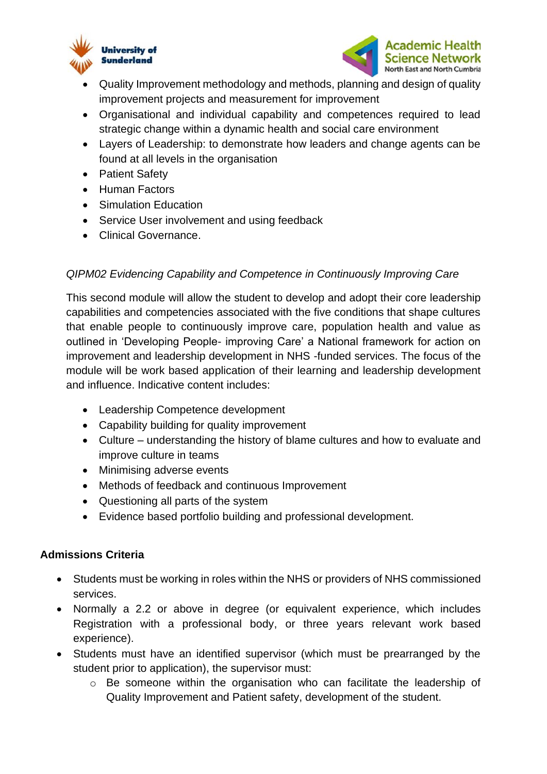



- Quality Improvement methodology and methods, planning and design of quality improvement projects and measurement for improvement
- Organisational and individual capability and competences required to lead strategic change within a dynamic health and social care environment
- Layers of Leadership: to demonstrate how leaders and change agents can be found at all levels in the organisation
- Patient Safety
- Human Factors
- Simulation Education
- Service User involvement and using feedback
- Clinical Governance.

### *QIPM02 Evidencing Capability and Competence in Continuously Improving Care*

This second module will allow the student to develop and adopt their core leadership capabilities and competencies associated with the five conditions that shape cultures that enable people to continuously improve care, population health and value as outlined in 'Developing People- improving Care' a National framework for action on improvement and leadership development in NHS -funded services. The focus of the module will be work based application of their learning and leadership development and influence. Indicative content includes:

- Leadership Competence development
- Capability building for quality improvement
- Culture understanding the history of blame cultures and how to evaluate and improve culture in teams
- Minimising adverse events
- Methods of feedback and continuous Improvement
- Questioning all parts of the system
- Evidence based portfolio building and professional development.

### **Admissions Criteria**

- Students must be working in roles within the NHS or providers of NHS commissioned services.
- Normally a 2.2 or above in degree (or equivalent experience, which includes Registration with a professional body, or three years relevant work based experience).
- Students must have an identified supervisor (which must be prearranged by the student prior to application), the supervisor must:
	- o Be someone within the organisation who can facilitate the leadership of Quality Improvement and Patient safety, development of the student.